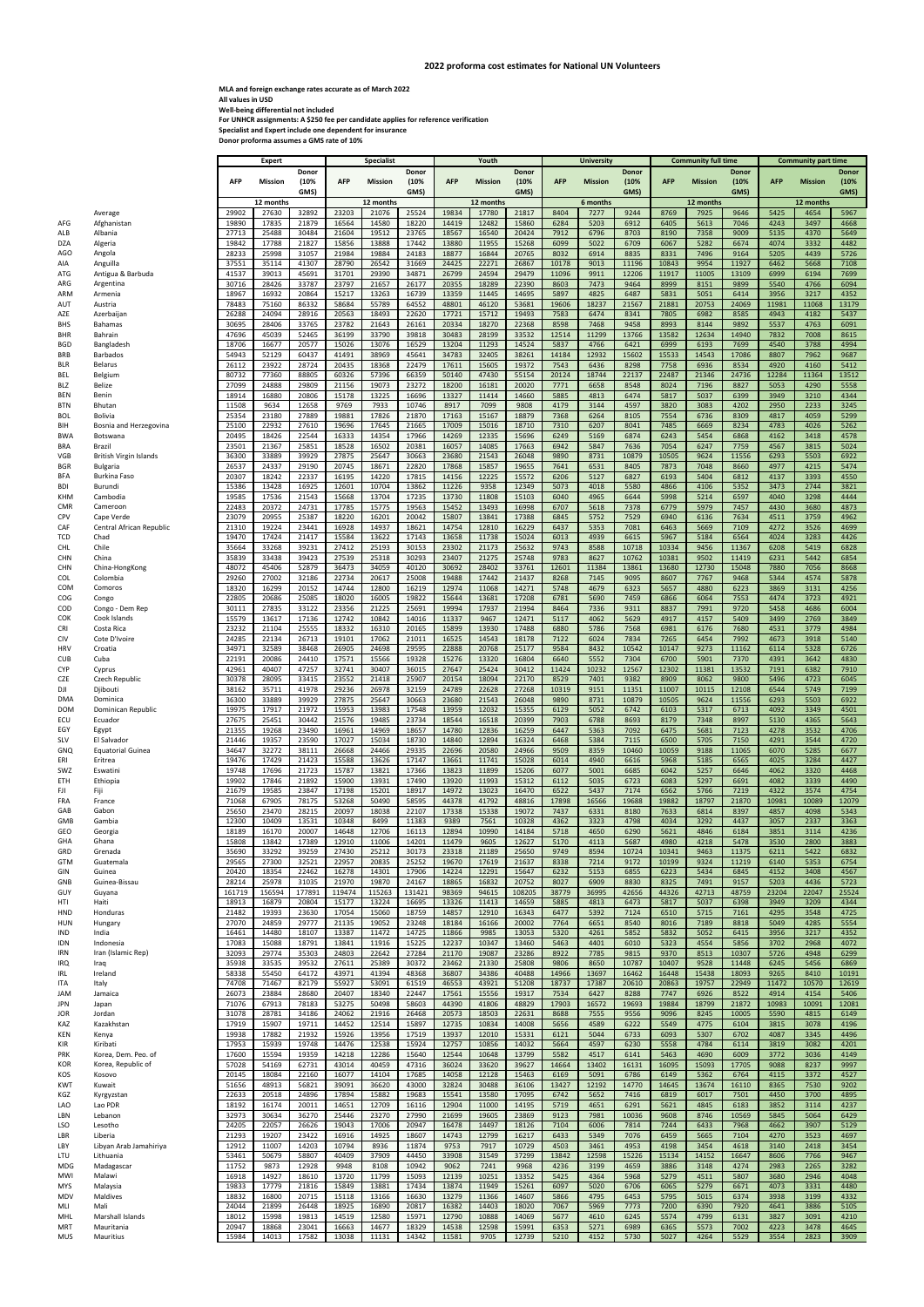**MLA and foreign exchange rates accurate as of March 2022 All values in USD Well‐being differential not included For UNHCR assignments: A \$250 fee per candidate applies for reference verification Specialist and Expert include one dependent for insurance Donor proforma assumes a GMS rate of 10%**

|                          |                                           |                | Expert         |                | <b>Specialist</b> |                                        |                | Youth          |                                               |                |                | <b>University</b>                             |                | <b>Community full time</b> |                                                      |                | <b>Community part time</b> |                |                      |
|--------------------------|-------------------------------------------|----------------|----------------|----------------|-------------------|----------------------------------------|----------------|----------------|-----------------------------------------------|----------------|----------------|-----------------------------------------------|----------------|----------------------------|------------------------------------------------------|----------------|----------------------------|----------------|----------------------|
|                          |                                           | <b>AFP</b>     | <b>Mission</b> | Donor<br>(10%  |                   | Donor<br>(10%<br>AFP<br><b>Mission</b> |                |                | Donor<br>(10%<br><b>AFP</b><br><b>Mission</b> |                |                | Donor<br>(10%<br><b>AFP</b><br><b>Mission</b> |                |                            | <b>Donor</b><br>(10%<br><b>AFP</b><br><b>Mission</b> |                |                            | <b>Mission</b> | <b>Donor</b><br>(10% |
|                          |                                           |                |                | GMS)           |                   |                                        | GMS)           |                |                                               | GMS)           |                |                                               | GMS)           |                            |                                                      | GMS)           | <b>AFP</b>                 |                | GMS)                 |
|                          |                                           |                | 12 months      |                |                   | 12 months                              |                |                | 12 months                                     |                |                | 6 months                                      |                |                            | 12 months                                            |                |                            | 12 months      |                      |
| AFG                      | Average<br>Afghanistan                    | 29902<br>19890 | 27630<br>17835 | 32892<br>21879 | 23203<br>16564    | 21076<br>14580                         | 25524<br>18220 | 19834<br>14419 | 17780<br>12482                                | 21817<br>15860 | 8404<br>6284   | 7277<br>5203                                  | 9244<br>6912   | 8769<br>6405               | 7925<br>5613                                         | 9646<br>7046   | 5425<br>4243               | 4654<br>3497   | 5967<br>4668         |
| ALB                      | Albania                                   | 27713          | 25488          | 30484          | 21604             | 19512                                  | 23765          | 18567          | 16540                                         | 20424          | 7912           | 6796                                          | 8703           | 8190                       | 7358                                                 | 9009           | 5135                       | 4370           | 5649                 |
| DZA<br>AGO               | Algeria<br>Angola                         | 19842<br>28233 | 17788<br>25998 | 21827<br>31057 | 15856<br>21984    | 13888<br>19884                         | 17442<br>24183 | 13880<br>18877 | 11955<br>16844                                | 15268<br>20765 | 6099<br>8032   | 5022<br>6914                                  | 6709<br>8835   | 6067<br>8331               | 5282<br>7496                                         | 6674<br>9164   | 4074<br>5205               | 3332<br>4439   | 4482<br>5726         |
| AIA                      | Anguilla                                  | 37551          | 35114          | 41307          | 28790             | 26542                                  | 31669          | 24425          | 22271                                         | 26867          | 10178          | 9013                                          | 11196          | 10843                      | 9954                                                 | 11927          | 6462                       | 5668           | 7108                 |
| ATG                      | Antigua & Barbuda                         | 41537          | 39013          | 45691          | 31701             | 29390                                  | 34871          | 26799          | 24594                                         | 29479          | 11096          | 9911                                          | 12206          | 11917                      | 11005                                                | 13109          | 6999                       | 6194           | 7699                 |
| ARG<br>ARM               | Argentina<br>Armenia                      | 30716<br>18967 | 28426<br>16932 | 33787<br>20864 | 23797<br>15217    | 21657<br>13263                         | 26177<br>16739 | 20355<br>13359 | 18289<br>11445                                | 22390<br>14695 | 8603<br>5897   | 7473<br>4825                                  | 9464<br>6487   | 8999<br>5831               | 8151<br>5051                                         | 9899<br>6414   | 5540<br>3956               | 4766<br>3217   | 6094<br>4352         |
| AUT                      | Austria                                   | 78483          | 75160          | 86332          | 58684             | 55789                                  | 64552          | 48801          | 46120                                         | 53681          | 19606          | 18237                                         | 21567          | 21881                      | 20753                                                | 24069          | 11981                      | 11068          | 13179                |
| AZE                      | Azerbaijan                                | 26288          | 24094          | 28916          | 20563             | 18493                                  | 22620          | 17721          | 15712                                         | 19493          | 7583           | 6474                                          | 8341           | 7805                       | 6982                                                 | 8585           | 4943                       | 4182           | 5437                 |
| <b>BHS</b><br>BHR        | Bahamas<br>Bahrain                        | 30695<br>47696 | 28406<br>45039 | 33765<br>52465 | 23782<br>36199    | 21643<br>33790                         | 26161<br>39818 | 20334<br>30483 | 18270<br>28199                                | 22368<br>33532 | 8598<br>12514  | 7468<br>11299                                 | 9458<br>13766  | 8993<br>13582              | 8144<br>12634                                        | 9892<br>14940  | 5537<br>7832               | 4763<br>7008   | 6091<br>8615         |
| BGD                      | Bangladesh                                | 18706          | 16677          | 20577          | 15026             | 13076                                  | 16529          | 13204          | 11293                                         | 14524          | 5837           | 4766                                          | 6421           | 6999                       | 6193                                                 | 7699           | 4540                       | 3788           | 4994                 |
| <b>BRB</b>               | <b>Barbados</b>                           | 54943          | 52129<br>23922 | 60437<br>28724 | 41491<br>20435    | 38969                                  | 45641<br>22479 | 34783<br>17611 | 32405<br>15605                                | 38261<br>19372 | 14184<br>7543  | 12932                                         | 15602          | 15533<br>7758              | 14543                                                | 17086<br>8534  | 8807<br>4920               | 7962           | 9687                 |
| <b>BLR</b><br><b>BEL</b> | Belarus<br>Belgium                        | 26112<br>80732 | 77360          | 88805          | 60326             | 18368<br>57396                         | 66359          | 50140          | 47430                                         | 55154          | 20124          | 6436<br>18744                                 | 8298<br>22137  | 22487                      | 6936<br>21346                                        | 24736          | 12284                      | 4160<br>11364  | 5412<br>13512        |
| BLZ                      | Belize                                    | 27099          | 24888          | 29809          | 21156             | 19073                                  | 23272          | 18200          | 16181                                         | 20020          | 7771           | 6658                                          | 8548           | 8024                       | 7196                                                 | 8827           | 5053                       | 4290           | 5558                 |
| <b>BEN</b><br><b>BTN</b> | Benin<br>Bhutan                           | 18914<br>11508 | 16880<br>9634  | 20806<br>12658 | 15178<br>9769     | 13225<br>7933                          | 16696<br>10746 | 13327<br>8917  | 11414<br>7099                                 | 14660<br>9808  | 5885<br>4179   | 4813<br>3144                                  | 6474<br>4597   | 5817<br>3820               | 5037<br>3083                                         | 6399<br>4202   | 3949<br>2950               | 3210<br>2233   | 4344<br>3245         |
| <b>BOL</b>               | <b>Bolivia</b>                            | 25354          | 23180          | 27889          | 19881             | 17826                                  | 21870          | 17163          | 15167                                         | 18879          | 7368           | 6264                                          | 8105           | 7554                       | 6736                                                 | 8309           | 4817                       | 4059           | 5299                 |
| BIH                      | Bosnia and Herzegovina                    | 25100          | 22932          | 27610          | 19696             | 17645                                  | 21665          | 17009          | 15016                                         | 18710          | 7310           | 6207                                          | 8041           | 7485                       | 6669                                                 | 8234           | 4783                       | 4026           | 5262                 |
| <b>BWA</b><br><b>BRA</b> | Botswana<br>Brazil                        | 20495<br>23501 | 18426<br>21367 | 22544<br>25851 | 16333<br>18528    | 14354<br>16502                         | 17966<br>20381 | 14269<br>16057 | 12335<br>14085                                | 15696<br>17663 | 6249<br>6942   | 5169<br>5847                                  | 6874<br>7636   | 6243<br>7054               | 5454<br>6247                                         | 6868<br>7759   | 4162<br>4567               | 3418<br>3815   | 4578<br>5024         |
| <b>VGB</b>               | <b>British Virgin Islands</b>             | 36300          | 33889          | 39929          | 27875             | 25647                                  | 30663          | 23680          | 21543                                         | 26048          | 9890           | 8731                                          | 10879          | 10505                      | 9624                                                 | 11556          | 6293                       | 5503           | 6922                 |
| BGR                      | <b>Bulgaria</b>                           | 26537          | 24337          | 29190          | 20745             | 18671                                  | 22820          | 17868          | 15857                                         | 19655          | 7641           | 6531                                          | 8405           | 7873                       | 7048                                                 | 8660           | 4977                       | 4215           | 5474                 |
| BFA<br><b>BDI</b>        | Burkina Faso<br>Burundi                   | 20307<br>15386 | 18242<br>13428 | 22337<br>16925 | 16195<br>12601    | 14220<br>10704                         | 17815<br>13862 | 14156<br>11226 | 12225<br>9358                                 | 15572<br>12349 | 6206<br>5073   | 5127<br>4018                                  | 6827<br>5580   | 6193<br>4866               | 5404<br>4106                                         | 6812<br>5352   | 4137<br>3473               | 3393<br>2744   | 4550<br>3821         |
| KHM                      | Cambodia                                  | 19585          | 17536          | 21543          | 15668             | 13704                                  | 17235          | 13730          | 11808                                         | 15103          | 6040           | 4965                                          | 6644           | 5998                       | 5214                                                 | 6597           | 4040                       | 3298           | 4444                 |
| <b>CMR</b>               | Cameroon                                  | 22483          | 20372          | 24731          | 17785             | 15775                                  | 19563          | 15452          | 13493                                         | 16998          | 6707           | 5618                                          | 7378           | 6779                       | 5979                                                 | 7457           | 4430                       | 3680           | 4873                 |
| <b>CPV</b><br>CAF        | Cape Verde<br>Central African Republic    | 23079<br>21310 | 20955<br>19224 | 25387<br>23441 | 18220<br>16928    | 16201<br>14937                         | 20042<br>18621 | 15807<br>14754 | 13841<br>12810                                | 17388<br>16229 | 6845<br>6437   | 5752<br>5353                                  | 7529<br>7081   | 6940<br>6463               | 6136<br>5669                                         | 7634<br>7109   | 4511<br>4272               | 3759<br>3526   | 4962<br>4699         |
| <b>TCD</b>               | Chad                                      | 19470          | 17424          | 21417          | 15584             | 13622                                  | 17143          | 13658          | 11738                                         | 15024          | 6013           | 4939                                          | 6615           | 5967                       | 5184                                                 | 6564           | 4024                       | 3283           | 4426                 |
| <b>CHL</b>               | Chile                                     | 35664          | 33268          | 39231          | 27412             | 25193                                  | 30153          | 23302          | 21173                                         | 25632          | 9743           | 8588                                          | 10718          | 10334                      | 9456                                                 | 11367          | 6208                       | 5419           | 6828                 |
| <b>CHN</b><br><b>CHN</b> | China<br>China-HongKong                   | 35839<br>48072 | 33438<br>45406 | 39423<br>52879 | 27539<br>36473    | 25318<br>34059                         | 30293<br>40120 | 23407<br>30692 | 21275<br>28402                                | 25748<br>33761 | 9783<br>12601  | 8627<br>11384                                 | 10762<br>13861 | 10381<br>13680             | 9502<br>12730                                        | 11419<br>15048 | 6231<br>7880               | 5442<br>7056   | 6854<br>8668         |
| <b>COL</b>               | Colombia                                  | 29260          | 27002          | 32186          | 22734             | 20617                                  | 25008          | 19488          | 17442                                         | 21437          | 8268           | 7145                                          | 9095           | 8607                       | 7767                                                 | 9468           | 5344                       | 4574           | 5878                 |
| <b>COM</b>               | Comoros                                   | 18320<br>22805 | 16299<br>20686 | 20152<br>25085 | 14744<br>18020    | 12800<br>16005                         | 16219<br>19822 | 12974<br>15644 | 11068<br>13681                                | 14271<br>17208 | 5748<br>6781   | 4679<br>5690                                  | 6323<br>7459   | 5657<br>6866               | 4880<br>6064                                         | 6223<br>7553   | 3869<br>4474               | 3131<br>3723   | 4256<br>4921         |
| COG<br>COD               | Congo<br>Congo - Dem Rep                  | 30111          | 27835          | 33122          | 23356             | 21225                                  | 25691          | 19994          | 17937                                         | 21994          | 8464           | 7336                                          | 9311           | 8837                       | 7991                                                 | 9720           | 5458                       | 4686           | 6004                 |
| <b>COK</b>               | Cook Islands                              | 15579          | 13617          | 17136          | 12742             | 10842                                  | 14016          | 11337          | 9467                                          | 12471          | 5117           | 4062                                          | 5629           | 4917                       | 4157                                                 | 5409           | 3499                       | 2769           | 3849                 |
| <b>CRI</b><br><b>CIV</b> | Costa Rica<br>Cote D'Ivoire               | 23232<br>24285 | 21104<br>22134 | 25555<br>26713 | 18332<br>19101    | 16310<br>17062                         | 20165<br>21011 | 15899<br>16525 | 13930<br>14543                                | 17488<br>18178 | 6880<br>7122   | 5786<br>6024                                  | 7568<br>7834   | 6981<br>7265               | 6176<br>6454                                         | 7680<br>7992   | 4531<br>4673               | 3779<br>3918   | 4984<br>5140         |
| HRV                      | Croatia                                   | 34971          | 32589          | 38468          | 26905             | 24698                                  | 29595          | 22888          | 20768                                         | 25177          | 9584           | 8432                                          | 10542          | 10147                      | 9273                                                 | 11162          | 6114                       | 5328           | 6726                 |
| <b>CUB</b>               | Cuba                                      | 22191          | 20086          | 24410          | 17571             | 15566                                  | 19328          | 15276          | 13320                                         | 16804          | 6640           | 5552                                          | 7304           | 6700                       | 5901                                                 | 7370           | 4391                       | 3642           | 4830                 |
| <b>CYP</b><br><b>CZE</b> | Cyprus<br>Czech Republic                  | 42961<br>30378 | 40407<br>28095 | 47257<br>33415 | 32741<br>23552    | 30407<br>21418                         | 36015<br>25907 | 27647<br>20154 | 25424<br>18094                                | 30412<br>22170 | 11424<br>8529  | 10232<br>7401                                 | 12567<br>9382  | 12302<br>8909              | 11381<br>8062                                        | 13532<br>9800  | 7191<br>5496               | 6382<br>4723   | 7910<br>6045         |
| DJI                      | Djibouti                                  | 38162          | 35711          | 41978          | 29236             | 26978                                  | 32159          | 24789          | 22628                                         | 27268          | 10319          | 9151                                          | 11351          | 11007                      | 10115                                                | 12108          | 6544                       | 5749           | 7199                 |
| DMA                      | Dominica                                  | 36300          | 33889          | 39929          | 27875             | 25647                                  | 30663          | 23680          | 21543                                         | 26048          | 9890           | 8731                                          | 10879          | 10505                      | 9624                                                 | 11556          | 6293                       | 5503           | 6922                 |
| <b>DOM</b><br>ECU        | Dominican Republic<br>Ecuador             | 19975<br>27675 | 17917<br>25451 | 21972<br>30442 | 15953<br>21576    | 13983<br>19485                         | 17548<br>23734 | 13959<br>18544 | 12032<br>16518                                | 15355<br>20399 | 6129<br>7903   | 5052<br>6788                                  | 6742<br>8693   | 6103<br>8179               | 5317<br>7348                                         | 6713<br>8997   | 4092<br>5130               | 3349<br>4365   | 4501<br>5643         |
| EGY                      | Egypt                                     | 21355          | 19268          | 23490          | 16961             | 14969                                  | 18657          | 14780          | 12836                                         | 16259          | 6447           | 5363                                          | 7092           | 6475                       | 5681                                                 | 7123           | 4278                       | 3532           | 4706                 |
| <b>SLV</b>               | El Salvador                               | 21446          | 19357          | 23590          | 17027             | 15034                                  | 18730          | 14840          | 12894                                         | 16324          | 6468           | 5384                                          | 7115           | 6500                       | 5705                                                 | 7150           | 4291                       | 3544           | 4720                 |
| <b>GNQ</b><br>ERI        | <b>Equatorial Guinea</b><br>Eritrea       | 34647<br>19476 | 32272<br>17429 | 38111<br>21423 | 26668<br>15588    | 24466<br>13626                         | 29335<br>17147 | 22696<br>13661 | 20580<br>11741                                | 24966<br>15028 | 9509<br>6014   | 8359<br>4940                                  | 10460<br>6616  | 10059<br>5968              | 9188<br>5185                                         | 11065<br>6565  | 6070<br>4025               | 5285<br>3284   | 6677<br>4427         |
| SWZ                      | Eswatini                                  | 19748          | 17696          | 21723          | 15787             | 13821                                  | 17366          | 13823          | 11899                                         | 15206          | 6077           | 5001                                          | 6685           | 6042                       | 5257                                                 | 6646           | 4062                       | 3320           | 4468                 |
| ETH<br>FJI               | Ethiopia<br>Fiji                          | 19902<br>21679 | 17846<br>19585 | 21892<br>23847 | 15900<br>17198    | 13931<br>15201                         | 17490<br>18917 | 13920<br>14972 | 11993<br>13023                                | 15312<br>16470 | 6112<br>6522   | 5035<br>5437                                  | 6723<br>7174   | 6083<br>6562               | 5297<br>5766                                         | 6691<br>7219   | 4082<br>4322               | 3339<br>3574   | 4490<br>4754         |
| FRA                      | France                                    | 71068          | 67905          | 78175          | 53268             | 50490                                  | 58595          | 44378          | 41792                                         | 48816          | 17898          | 16566                                         | 19688          | 19882                      | 18797                                                | 21870          | 10981                      | 10089          | 12079                |
| GAB                      | Gabon                                     | 25650          | 23470          | 28215          | 20097             | 18038                                  | 22107          | 17338          | 15338                                         | 19072          | 7437           | 6331                                          | 8180           | 7633                       | 6814                                                 | 8397           | 4857                       | 4098           | 5343                 |
| GMB<br>GEO               | Gambia<br>Georgia                         | 12300<br>18189 | 10409<br>16170 | 13531<br>20007 | 10348<br>14648    | 8499<br>12706                          | 11383<br>16113 | 9389<br>12894  | 7561<br>10990                                 | 10328<br>14184 | 4362<br>5718   | 3323<br>4650                                  | 4798<br>6290   | 4034<br>5621               | 3292<br>4846                                         | 4437<br>6184   | 3057<br>3851               | 2337<br>3114   | 3363<br>4236         |
| GHA                      | Ghana                                     | 15808          | 13842          | 17389          | 12910             | 11006                                  | 14201          | 11479          | 9605                                          | 12627          | 5170           | 4113                                          | 5687           | 4980                       | 4218                                                 | 5478           | 3530                       | 2800           | 3883                 |
| GRD                      | Grenada                                   | 35690          | 33292          | 39259          | 27430             | 25212                                  | 30173          | 23318          | 21189                                         | 25650          | 9749           | 8594                                          | 10724          | 10341                      | 9463                                                 | 11375          | 6211                       | 5422           | 6832                 |
| <b>GTM</b><br>GIN        | Guatemala<br>Guinea                       | 29565<br>20420 | 27300<br>18354 | 32521<br>22462 | 22957<br>16278    | 20835<br>14301                         | 25252<br>17906 | 19670<br>14224 | 17619<br>12291                                | 21637<br>15647 | 8338<br>6232   | 7214<br>5153                                  | 9172<br>6855   | 10199<br>6223              | 9324<br>5434                                         | 11219<br>6845  | 6140<br>4152               | 5353<br>3408   | 6754<br>4567         |
| GNB                      | Guinea-Bissau                             | 28214          | 25978          | 31035          | 21970             | 19870                                  | 24167          | 18865          | 16832                                         | 20752          | 8027           | 6909                                          | 8830           | 8325                       | 7491                                                 | 9157           | 5203                       | 4436           | 5723                 |
| GUY                      | Guyana                                    | 161719         | 156594         | 177891         | 119474            | 115263                                 | 131421         | 98369          | 94615                                         | 108205         | 38779          | 36995                                         | 42656          | 44326                      | 42713                                                | 48759          | 23204                      | 22047          | 25524                |
| HTI<br><b>HND</b>        | Haiti<br>Honduras                         | 18913<br>21482 | 16879<br>19393 | 20804<br>23630 | 15177<br>17054    | 13224<br>15060                         | 16695<br>18759 | 13326<br>14857 | 11413<br>12910                                | 14659<br>16343 | 5885<br>6477   | 4813<br>5392                                  | 6473<br>7124   | 5817<br>6510               | 5037<br>5715                                         | 6398<br>7161   | 3949<br>4295               | 3209<br>3548   | 4344<br>4725         |
| HUN                      | Hungary                                   | 27070          | 24859          | 29777          | 21135             | 19052                                  | 23248          | 18184          | 16166                                         | 20002          | 7764           | 6651                                          | 8540           | 8016                       | 7189                                                 | 8818           | 5049                       | 4285           | 5554                 |
| IND<br><b>IDN</b>        | India<br>Indonesia                        | 16461<br>17083 | 14480<br>15088 | 18107<br>18791 | 13387<br>13841    | 11472<br>11916                         | 14725<br>15225 | 11866<br>12237 | 9985<br>10347                                 | 13053<br>13460 | 5320<br>5463   | 4261<br>4401                                  | 5852<br>6010   | 5832<br>5323               | 5052<br>4554                                         | 6415<br>5856   | 3956<br>3702               | 3217<br>2968   | 4352<br>4072         |
| <b>IRN</b>               | Iran (Islamic Rep)                        | 32093          | 29774          | 35303          | 24803             | 22642                                  | 27284          | 21170          | 19087                                         | 23286          | 8922           | 7785                                          | 9815           | 9370                       | 8513                                                 | 10307          | 5726                       | 4948           | 6299                 |
| <b>IRQ</b>               | Iraq                                      | 35938          | 33535          | 39532          | 27611             | 25389                                  | 30372          | 23462          | 21330                                         | 25808          | 9806           | 8650                                          | 10787          | 10407                      | 9528                                                 | 11448          | 6245                       | 5456           | 6869                 |
| IRL<br>ITA               | Ireland<br>Italy                          | 58338<br>74708 | 55450<br>71467 | 64172<br>82179 | 43971<br>55927    | 41394<br>53091                         | 48368<br>61519 | 36807<br>46553 | 34386<br>43921                                | 40488<br>51208 | 14966<br>18737 | 13697<br>17387                                | 16462<br>20610 | 16448<br>20863             | 15438<br>19757                                       | 18093<br>22949 | 9265<br>11472              | 8410<br>10570  | 10191<br>12619       |
| JAM                      | Jamaica                                   | 26073          | 23884          | 28680          | 20407             | 18340                                  | 22447          | 17561          | 15556                                         | 19317          | 7534           | 6427                                          | 8288           | 7747                       | 6926                                                 | 8522           | 4914                       | 4154           | 5406                 |
| <b>JPN</b>               | Japan                                     | 71076          | 67913          | 78183          | 53275             | 50498                                  | 58603          | 44390          | 41806                                         | 48829          | 17903          | 16572                                         | 19693          | 19884                      | 18799                                                | 21872          | 10983                      | 10091          | 12081                |
| JOR<br>KAZ               | Jordan<br>Kazakhstan                      | 31078<br>17919 | 28781<br>15907 | 34186<br>19711 | 24062<br>14452    | 21916<br>12514                         | 26468<br>15897 | 20573<br>12735 | 18503<br>10834                                | 22631<br>14008 | 8688<br>5656   | 7555<br>4589                                  | 9556<br>6222   | 9096<br>5549               | 8245<br>4775                                         | 10005<br>6104  | 5590<br>3815               | 4815<br>3078   | 6149<br>4196         |
| KEN                      | Kenya                                     | 19938          | 17882          | 21932          | 15926             | 13956                                  | 17519          | 13937          | 12010                                         | 15331          | 6121           | 5044                                          | 6733           | 6093                       | 5307                                                 | 6702           | 4087                       | 3345           | 4496                 |
| KIR                      | Kiribati                                  | 17953          | 15939          | 19748          | 14476             | 12538                                  | 15924          | 12757          | 10856                                         | 14032          | 5664           | 4597                                          | 6230           | 5558                       | 4784                                                 | 6114           | 3819                       | 3082           | 4201                 |
| PRK<br>KOR               | Korea, Dem. Peo. of<br>Korea, Republic of | 17600<br>57028 | 15594<br>54169 | 19359<br>62731 | 14218<br>43014    | 12286<br>40459                         | 15640<br>47316 | 12544<br>36024 | 10648<br>33620                                | 13799<br>39627 | 5582<br>14664  | 4517<br>13402                                 | 6141<br>16131  | 5463<br>16095              | 4690<br>15093                                        | 6009<br>17705  | 3772<br>9088               | 3036<br>8237   | 4149<br>9997         |
| KOS                      | Kosovo                                    | 20145          | 18084          | 22160          | 16077             | 14104                                  | 17685          | 14058          | 12128                                         | 15463          | 6169           | 5091                                          | 6786           | 6149                       | 5362                                                 | 6764           | 4115                       | 3372           | 4527                 |
| KWT                      | Kuwait                                    | 51656          | 48913          | 56821          | 39091             | 36620                                  | 43000          | 32824          | 30488                                         | 36106          | 13427          | 12192                                         | 14770          | 14645                      | 13674                                                | 16110          | 8365                       | 7530           | 9202                 |
| KGZ<br>LAO               | Kyrgyzstan<br>Lao PDR                     | 22633<br>18192 | 20518<br>16174 | 24896<br>20011 | 17894<br>14651    | 15882<br>12709                         | 19683<br>16116 | 15541<br>12904 | 13580<br>11000                                | 17095<br>14195 | 6742<br>5719   | 5652<br>4651                                  | 7416<br>6291   | 6819<br>5621               | 6017<br>4845                                         | 7501<br>6183   | 4450<br>3852               | 3700<br>3114   | 4895<br>4237         |
| LBN                      | Lebanon                                   | 32973          | 30634          | 36270          | 25446             | 23270                                  | 27990          | 21699          | 19605                                         | 23869          | 9123           | 7981                                          | 10036          | 9608                       | 8746                                                 | 10569          | 5845                       | 5064           | 6429                 |
| <b>LSO</b><br>LBR        | Lesotho                                   | 24205<br>21293 | 22057<br>19207 | 26626<br>23422 | 19043<br>16916    | 17006<br>14925                         | 20947<br>18607 | 16478<br>14743 | 14497<br>12799                                | 18126<br>16217 | 7104<br>6433   | 6006<br>5349                                  | 7814<br>7076   | 7244<br>6459               | 6433<br>5665                                         | 7968<br>7104   | 4662<br>4270               | 3907<br>3523   | 5129<br>4697         |
| LBY                      | Liberia<br>Libyan Arab Jamahiriya         | 12912          | 11007          | 14203          | 10794             | 8936                                   | 11874          | 9753           | 7917                                          | 10729          | 4503           | 3461                                          | 4953           | 4198                       | 3454                                                 | 4618           | 3140                       | 2418           | 3454                 |
| LTU                      | Lithuania                                 | 53461          | 50679          | 58807          | 40409             | 37909                                  | 44450          | 33908          | 31549                                         | 37299          | 13842          | 12598                                         | 15226          | 15134                      | 14152                                                | 16647          | 8606                       | 7766           | 9467                 |
| MDG<br>MWI               | Madagascar<br>Malawi                      | 11752<br>16918 | 9873<br>14927  | 12928<br>18610 | 9948<br>13720     | 8108<br>11799                          | 10942<br>15093 | 9062<br>12139  | 7241<br>10251                                 | 9968<br>13352  | 4236<br>5425   | 3199<br>4364                                  | 4659<br>5968   | 3886<br>5279               | 3148<br>4511                                         | 4274<br>5807   | 2983<br>3680               | 2265<br>2946   | 3282<br>4048         |
| MYS                      | Malaysia                                  | 19833          | 17779          | 21816          | 15849             | 13881                                  | 17434          | 13874          | 11949                                         | 15261          | 6097           | 5020                                          | 6706           | 6065                       | 5279                                                 | 6671           | 4073                       | 3331           | 4480                 |
| MDV                      | Maldives                                  | 18832          | 16800          | 20715          | 15118             | 13166                                  | 16630          | 13279          | 11366                                         | 14607          | 5866           | 4795                                          | 6453           | 5795                       | 5015                                                 | 6374           | 3938                       | 3199           | 4332                 |
| MLI<br>MHL               | Mali<br>Marshall Islands                  | 24044<br>18012 | 21899<br>15998 | 26448<br>19813 | 18925<br>14519    | 16890<br>12580                         | 20817<br>15971 | 16382<br>12790 | 14403<br>10888                                | 18020<br>14069 | 7067<br>5677   | 5969<br>4610                                  | 7773<br>6245   | 7200<br>5574               | 6390<br>4799                                         | 7920<br>6131   | 4641<br>3827               | 3886<br>3091   | 5105<br>4210         |
| MRT                      | Mauritania                                | 20947          | 18868          | 23041          | 16663             | 14677                                  | 18329          | 14538          | 12598                                         | 15991          | 6353           | 5271                                          | 6989           | 6365                       | 5573                                                 | 7002           | 4223                       | 3478           | 4645                 |
| <b>MUS</b>               | Mauritius                                 | 15984          | 14013          | 17582          | 13038             | 11131                                  | 14342          | 11581          | 9705                                          | 12739          | 5210           | 4152                                          | 5730           | 5027                       | 4264                                                 | 5529           | 3554                       | 2823           | 3909                 |

## **2022 proforma cost estimates for National UN Volunteers**